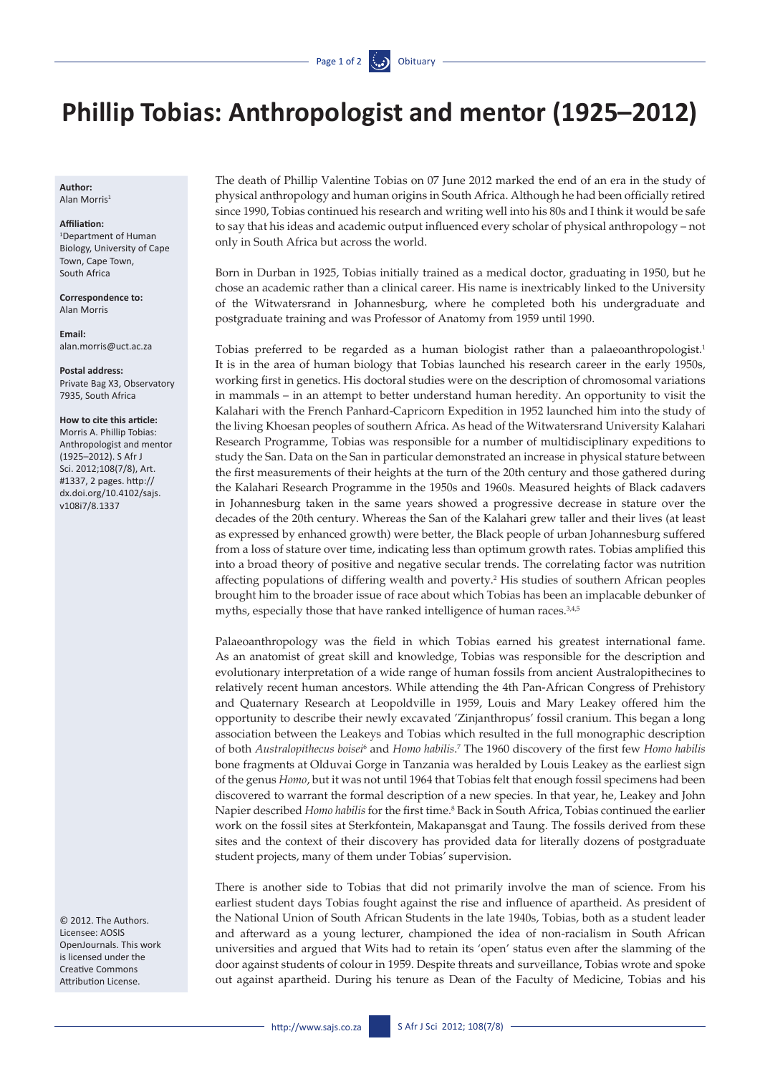## **Phillip Tobias: Anthropologist and mentor (1925–2012)**

**Author:**  Alan Morris1

## **Affiliation:**

1 Department of Human Biology, University of Cape Town, Cape Town, South Africa

**Correspondence to:**  Alan Morris

**Email:**  [alan.morris@uct.ac.za](mailto:Alan.Morris@uct.ac.za)

**Postal address:**  Private Bag X3, Observatory 7935, South Africa

## **How to cite this article:**

Morris A. Phillip Tobias: Anthropologist and mentor (1925–2012). S Afr J Sci. 2012;108(7/8), Art. #1337, 2 pages. [http://](http://dx.doi.org/10.4102/sajs.v108i7/8.1337) [dx.doi.org/10.4102/sajs.](http://dx.doi.org/10.4102/sajs.v108i7/8.1337) [v108i7/8.1337](http://dx.doi.org/10.4102/sajs.v108i7/8.1337)

© 2012. The Authors. Licensee: AOSIS OpenJournals. This work is licensed under the Creative Commons Attribution License.

The death of Phillip Valentine Tobias on 07 June 2012 marked the end of an era in the study of physical anthropology and human origins in South Africa. Although he had been officially retired since 1990, Tobias continued his research and writing well into his 80s and I think it would be safe to say that his ideas and academic output influenced every scholar of physical anthropology – not only in South Africa but across the world.

Born in Durban in 1925, Tobias initially trained as a medical doctor, graduating in 1950, but he chose an academic rather than a clinical career. His name is inextricably linked to the University of the Witwatersrand in Johannesburg, where he completed both his undergraduate and postgraduate training and was Professor of Anatomy from 1959 until 1990.

Tobias preferred to be regarded as a human biologist rather than a palaeoanthropologist.<sup>1</sup> It is in the area of human biology that Tobias launched his research career in the early 1950s, working first in genetics. His doctoral studies were on the description of chromosomal variations in mammals – in an attempt to better understand human heredity. An opportunity to visit the Kalahari with the French Panhard-Capricorn Expedition in 1952 launched him into the study of the living Khoesan peoples of southern Africa. As head of the Witwatersrand University Kalahari Research Programme, Tobias was responsible for a number of multidisciplinary expeditions to study the San. Data on the San in particular demonstrated an increase in physical stature between the first measurements of their heights at the turn of the 20th century and those gathered during the Kalahari Research Programme in the 1950s and 1960s. Measured heights of Black cadavers in Johannesburg taken in the same years showed a progressive decrease in stature over the decades of the 20th century. Whereas the San of the Kalahari grew taller and their lives (at least as expressed by enhanced growth) were better, the Black people of urban Johannesburg suffered from a loss of stature over time, indicating less than optimum growth rates. Tobias amplified this into a broad theory of positive and negative secular trends. The correlating factor was nutrition affecting populations of differing wealth and poverty.2 His studies of southern African peoples brought him to the broader issue of race about which Tobias has been an implacable debunker of myths, especially those that have ranked intelligence of human races.<sup>3,4,5</sup>

Palaeoanthropology was the field in which Tobias earned his greatest international fame. As an anatomist of great skill and knowledge, Tobias was responsible for the description and evolutionary interpretation of a wide range of human fossils from ancient Australopithecines to relatively recent human ancestors. While attending the 4th Pan-African Congress of Prehistory and Quaternary Research at Leopoldville in 1959, Louis and Mary Leakey offered him the opportunity to describe their newly excavated 'Zinjanthropus' fossil cranium. This began a long association between the Leakeys and Tobias which resulted in the full monographic description of both *Australopithecus boisei*<sup>6</sup> and *Homo habilis*. 7 The 1960 discovery of the first few *Homo habilis* bone fragments at Olduvai Gorge in Tanzania was heralded by Louis Leakey as the earliest sign of the genus *Homo*, but it was not until 1964 that Tobias felt that enough fossil specimens had been discovered to warrant the formal description of a new species. In that year, he, Leakey and John Napier described *Homo habilis* for the first time.<sup>8</sup> Back in South Africa, Tobias continued the earlier work on the fossil sites at Sterkfontein, Makapansgat and Taung. The fossils derived from these sites and the context of their discovery has provided data for literally dozens of postgraduate student projects, many of them under Tobias' supervision.

There is another side to Tobias that did not primarily involve the man of science. From his earliest student days Tobias fought against the rise and influence of apartheid. As president of the National Union of South African Students in the late 1940s, Tobias, both as a student leader and afterward as a young lecturer, championed the idea of non-racialism in South African universities and argued that Wits had to retain its 'open' status even after the slamming of the door against students of colour in 1959. Despite threats and surveillance, Tobias wrote and spoke out against apartheid. During his tenure as Dean of the Faculty of Medicine, Tobias and his